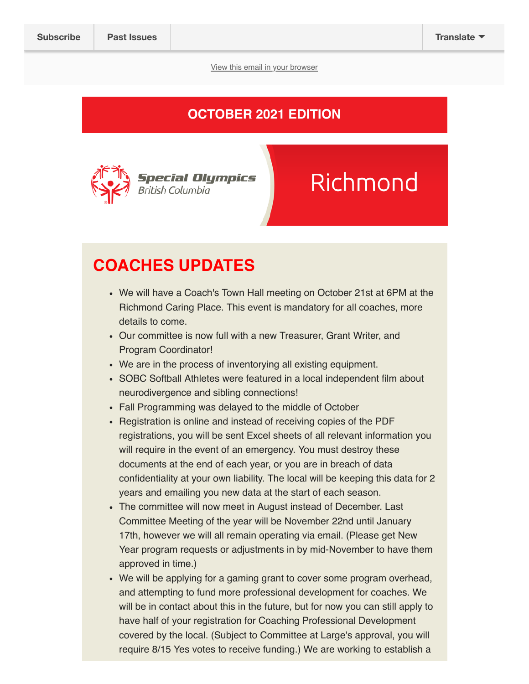View this email in your browser

### OCTOBER 2021 EDITION



# Richmond

### COACHES UPDATES

- We will have a Coach's Town Hall meeting on October 21st at 6PM at the Richmond Caring Place. This event is mandatory for all coaches, more details to come.
- Our committee is now full with a new Treasurer, Grant Writer, and Program Coordinator!
- We are in the process of inventorying all existing equipment.
- SOBC Softball Athletes were featured in a local independent film about neurodivergence and sibling connections!
- Fall Programming was delayed to the middle of October
- Registration is online and instead of receiving copies of the PDF registrations, you will be sent Excel sheets of all relevant information you will require in the event of an emergency. You must destroy these documents at the end of each year, or you are in breach of data confidentiality at your own liability. The local will be keeping this data for 2 years and emailing you new data at the start of each season.
- The committee will now meet in August instead of December. Last Committee Meeting of the year will be November 22nd until January 17th, however we will all remain operating via email. (Please get New Year program requests or adjustments in by mid-November to have them approved in time.)
- We will be applying for a gaming grant to cover some program overhead, and attempting to fund more professional development for coaches. We will be in contact about this in the future, but for now you can still apply to have half of your registration for Coaching Professional Development covered by the local. (Subject to Committee at Large's approval, you will require 8/15 Yes votes to receive funding.) We are working to establish a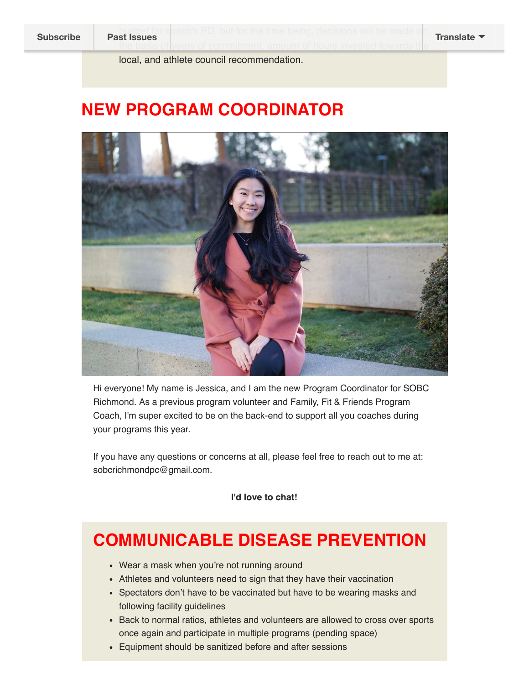budget for coach's PD, but for the time being, decisions will be made on the basis of|years of commitment, amount of hours invested towards the Subscribe **Past Issues** Translate **Proposed by Barnet Boundalism** Boundary Manus Manus Pranslate

local, and athlete council recommendation.

### NEW PROGRAM COORDINATOR



Hi everyone! My name is Jessica, and I am the new Program Coordinator for SOBC Richmond. As a previous program volunteer and Family, Fit & Friends Program Coach, I'm super excited to be on the back-end to support all you coaches during your programs this year.

If you have any questions or concerns at all, please feel free to reach out to me at: sobcrichmondpc@gmail.com.

I'd love to chat!

### COMMUNICABLE DISEASE PREVENTION

- Wear a mask when you're not running around
- Athletes and volunteers need to sign that they have their vaccination
- Spectators don't have to be vaccinated but have to be wearing masks and following facility guidelines
- Back to normal ratios, athletes and volunteers are allowed to cross over sports once again and participate in multiple programs (pending space)
- Equipment should be sanitized before and after sessions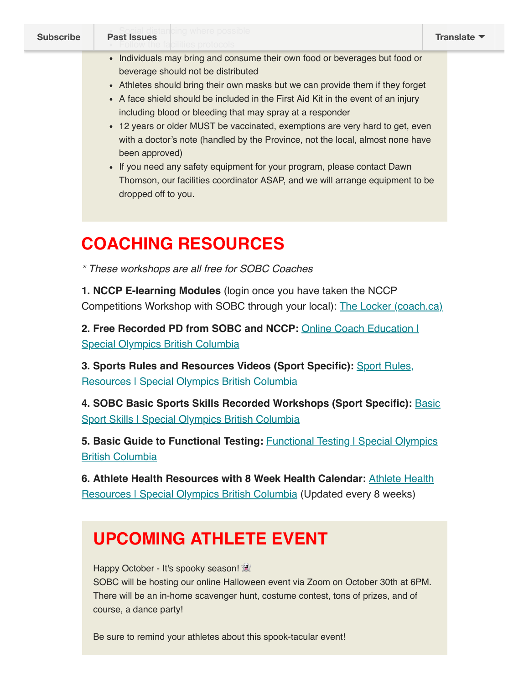- Individuals may bring and consume their own food or beverages but food or beverage should not be distributed
- Athletes should bring their own masks but we can provide them if they forget
- A face shield should be included in the First Aid Kit in the event of an injury including blood or bleeding that may spray at a responder
- 12 years or older MUST be vaccinated, exemptions are very hard to get, even with a doctor's note (handled by the Province, not the local, almost none have been approved)
- If you need any safety equipment for your program, please contact Dawn Thomson, our facilities coordinator ASAP, and we will arrange equipment to be dropped off to you.

### COACHING RESOURCES

\* These workshops are all free for SOBC Coaches

1. NCCP E-learning Modules (login once you have taken the NCCP Competitions Workshop with SOBC through your local): The Locker (coach.ca)

2. Free Recorded PD from SOBC and NCCP: Online Coach Education I Special Olympics British Columbia

3. Sports Rules and Resources Videos (Sport Specific): Sport Rules, **Resources | Special Olympics British Columbia** 

4. SOBC Basic Sports Skills Recorded Workshops (Sport Specific): Basic Sport Skills | Special Olympics British Columbia

5. Basic Guide to Functional Testing: **Functional Testing I Special Olympics** British Columbia

6. Athlete Health Resources with 8 Week Health Calendar: Athlete Health Resources | Special Olympics British Columbia (Updated every 8 weeks)

## UPCOMING ATHLETE EVENT

Happy October - It's spooky season!

SOBC will be hosting our online Halloween event via Zoom on October 30th at 6PM. There will be an in-home scavenger hunt, costume contest, tons of prizes, and of course, a dance party!

Be sure to remind your athletes about this spook-tacular event!